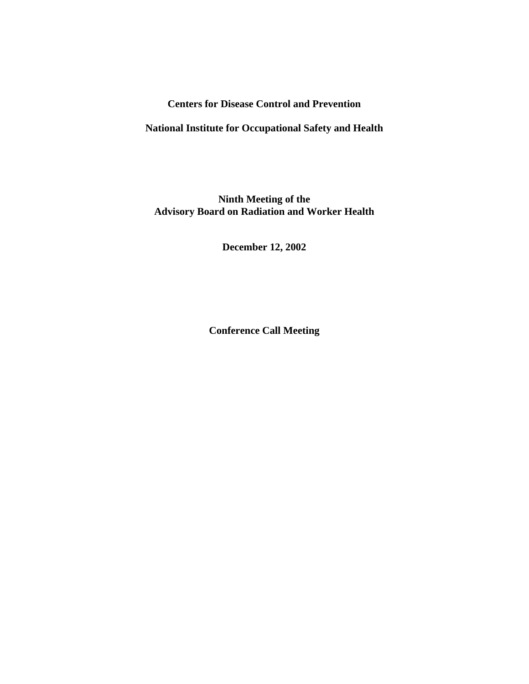## **Centers for Disease Control and Prevention**

## **National Institute for Occupational Safety and Health**

# **Ninth Meeting of the Advisory Board on Radiation and Worker Health**

**December 12, 2002**

**Conference Call Meeting**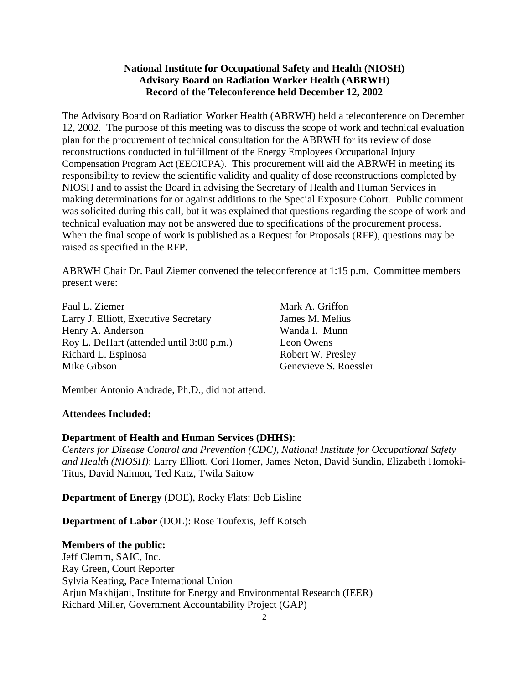## **National Institute for Occupational Safety and Health (NIOSH) Advisory Board on Radiation Worker Health (ABRWH) Record of the Teleconference held December 12, 2002**

The Advisory Board on Radiation Worker Health (ABRWH) held a teleconference on December 12, 2002. The purpose of this meeting was to discuss the scope of work and technical evaluation plan for the procurement of technical consultation for the ABRWH for its review of dose reconstructions conducted in fulfillment of the Energy Employees Occupational Injury Compensation Program Act (EEOICPA). This procurement will aid the ABRWH in meeting its responsibility to review the scientific validity and quality of dose reconstructions completed by NIOSH and to assist the Board in advising the Secretary of Health and Human Services in making determinations for or against additions to the Special Exposure Cohort. Public comment was solicited during this call, but it was explained that questions regarding the scope of work and technical evaluation may not be answered due to specifications of the procurement process. When the final scope of work is published as a Request for Proposals (RFP), questions may be raised as specified in the RFP.

ABRWH Chair Dr. Paul Ziemer convened the teleconference at 1:15 p.m. Committee members present were:

Paul L. Ziemer Larry J. Elliott, Executive Secretary Henry A. Anderson Roy L. DeHart (attended until 3:00 p.m.) Richard L. Espinosa Mike Gibson

Mark A. Griffon James M. Melius Wanda I. Munn Leon Owens Robert W. Presley Genevieve S. Roessler

Member Antonio Andrade, Ph.D., did not attend.

### **Attendees Included:**

### **Department of Health and Human Services (DHHS)**:

*Centers for Disease Control and Prevention (CDC), National Institute for Occupational Safety and Health (NIOSH)*: Larry Elliott, Cori Homer, James Neton, David Sundin, Elizabeth Homoki-Titus, David Naimon, Ted Katz, Twila Saitow

**Department of Energy** (DOE), Rocky Flats: Bob Eisline

**Department of Labor** (DOL): Rose Toufexis, Jeff Kotsch

### **Members of the public:**

Jeff Clemm, SAIC, Inc. Ray Green, Court Reporter Sylvia Keating, Pace International Union Arjun Makhijani, Institute for Energy and Environmental Research (IEER) Richard Miller, Government Accountability Project (GAP)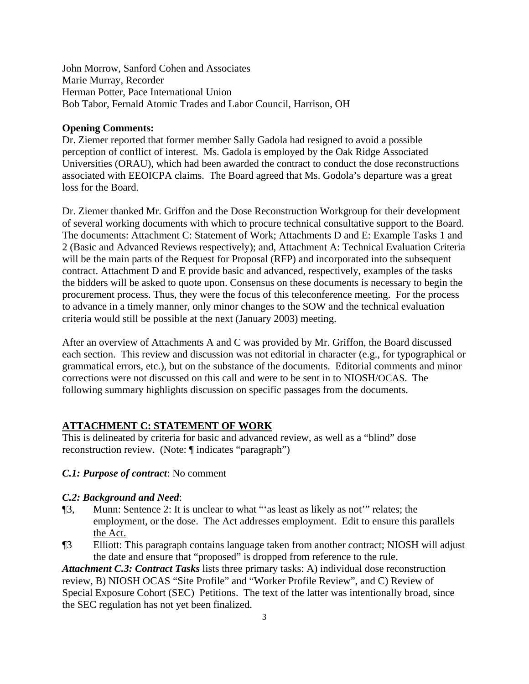John Morrow, Sanford Cohen and Associates Marie Murray, Recorder Herman Potter, Pace International Union Bob Tabor, Fernald Atomic Trades and Labor Council, Harrison, OH

### **Opening Comments:**

Dr. Ziemer reported that former member Sally Gadola had resigned to avoid a possible perception of conflict of interest. Ms. Gadola is employed by the Oak Ridge Associated Universities (ORAU), which had been awarded the contract to conduct the dose reconstructions associated with EEOICPA claims. The Board agreed that Ms. Godola's departure was a great loss for the Board.

Dr. Ziemer thanked Mr. Griffon and the Dose Reconstruction Workgroup for their development of several working documents with which to procure technical consultative support to the Board. The documents: Attachment C: Statement of Work; Attachments D and E: Example Tasks 1 and 2 (Basic and Advanced Reviews respectively); and, Attachment A: Technical Evaluation Criteria will be the main parts of the Request for Proposal (RFP) and incorporated into the subsequent contract. Attachment D and E provide basic and advanced, respectively, examples of the tasks the bidders will be asked to quote upon. Consensus on these documents is necessary to begin the procurement process. Thus, they were the focus of this teleconference meeting. For the process to advance in a timely manner, only minor changes to the SOW and the technical evaluation criteria would still be possible at the next (January 2003) meeting.

After an overview of Attachments A and C was provided by Mr. Griffon, the Board discussed each section. This review and discussion was not editorial in character (e.g., for typographical or grammatical errors, etc.), but on the substance of the documents. Editorial comments and minor corrections were not discussed on this call and were to be sent in to NIOSH/OCAS. The following summary highlights discussion on specific passages from the documents.

### **ATTACHMENT C: STATEMENT OF WORK**

This is delineated by criteria for basic and advanced review, as well as a "blind" dose reconstruction review. (Note: ¶ indicates "paragraph")

### *C.1: Purpose of contract*: No comment

#### *C.2: Background and Need*:

- ¶3, Munn: Sentence 2: It is unclear to what "'as least as likely as not'" relates; the employment, or the dose. The Act addresses employment. Edit to ensure this parallels the Act.
- ¶3 Elliott: This paragraph contains language taken from another contract; NIOSH will adjust the date and ensure that "proposed" is dropped from reference to the rule.

*Attachment C.3: Contract Tasks* lists three primary tasks: A) individual dose reconstruction review, B) NIOSH OCAS "Site Profile" and "Worker Profile Review", and C) Review of Special Exposure Cohort (SEC) Petitions. The text of the latter was intentionally broad, since the SEC regulation has not yet been finalized.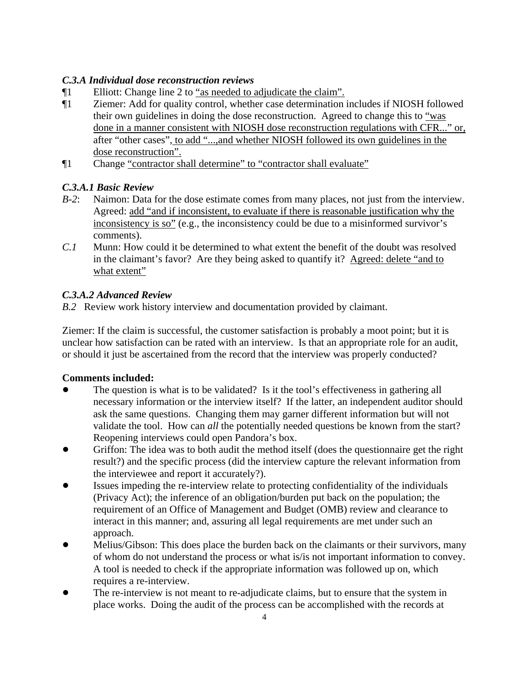# *C.3.A Individual dose reconstruction reviews*

- ¶1 Elliott: Change line 2 to "as needed to adjudicate the claim".
- ¶1 Ziemer: Add for quality control, whether case determination includes if NIOSH followed their own guidelines in doing the dose reconstruction. Agreed to change this to "was done in a manner consistent with NIOSH dose reconstruction regulations with CFR..." or, after "other cases", to add "...,and whether NIOSH followed its own guidelines in the dose reconstruction".
- ¶1 Change "contractor shall determine" to "contractor shall evaluate"

# *C.3.A.1 Basic Review*

- *B-2*: Naimon: Data for the dose estimate comes from many places, not just from the interview. Agreed: add "and if inconsistent, to evaluate if there is reasonable justification why the inconsistency is so" (e.g., the inconsistency could be due to a misinformed survivor's comments).
- *C.1* Munn: How could it be determined to what extent the benefit of the doubt was resolved in the claimant's favor? Are they being asked to quantify it? Agreed: delete "and to what extent"

# *C.3.A.2 Advanced Review*

*B.2* Review work history interview and documentation provided by claimant.

 or should it just be ascertained from the record that the interview was properly conducted? Ziemer: If the claim is successful, the customer satisfaction is probably a moot point; but it is unclear how satisfaction can be rated with an interview. Is that an appropriate role for an audit,

# **Comments included:**

- necessary information or the interview itself? If the latter, an independent auditor should validate the tool. How can *all* the potentially needed questions be known from the start? Reopening interviews could open Pandora's box. The question is what is to be validated? Is it the tool's effectiveness in gathering all ask the same questions. Changing them may garner different information but will not
- Griffon: The idea was to both audit the method itself (does the questionnaire get the right result?) and the specific process (did the interview capture the relevant information from the interviewee and report it accurately?).
- Issues impeding the re-interview relate to protecting confidentiality of the individuals (Privacy Act); the inference of an obligation/burden put back on the population; the requirement of an Office of Management and Budget (OMB) review and clearance to interact in this manner; and, assuring all legal requirements are met under such an approach.
- Melius/Gibson: This does place the burden back on the claimants or their survivors, many of whom do not understand the process or what is/is not important information to convey. A tool is needed to check if the appropriate information was followed up on, which requires a re-interview.
- The re-interview is not meant to re-adjudicate claims, but to ensure that the system in place works. Doing the audit of the process can be accomplished with the records at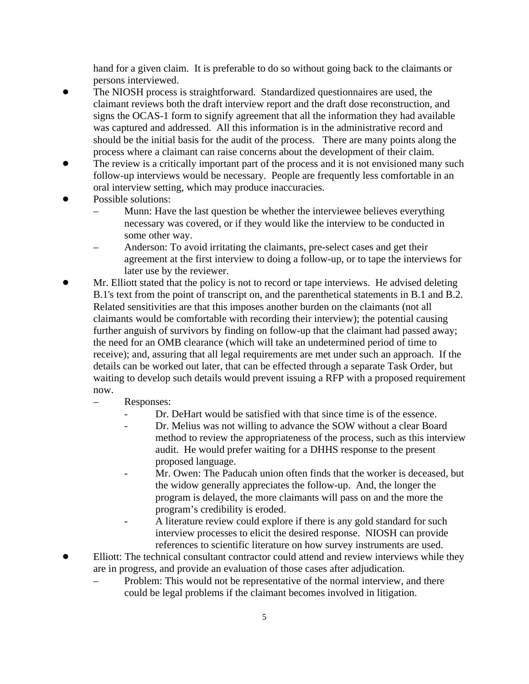hand for a given claim. It is preferable to do so without going back to the claimants or persons interviewed.

- The NIOSH process is straightforward. Standardized questionnaires are used, the claimant reviews both the draft interview report and the draft dose reconstruction, and signs the OCAS-1 form to signify agreement that all the information they had available was captured and addressed. All this information is in the administrative record and should be the initial basis for the audit of the process. There are many points along the process where a claimant can raise concerns about the development of their claim.
- The review is a critically important part of the process and it is not envisioned many such follow-up interviews would be necessary. People are frequently less comfortable in an oral interview setting, which may produce inaccuracies.
- Possible solutions:
	- – Munn: Have the last question be whether the interviewee believes everything necessary was covered, or if they would like the interview to be conducted in some other way.
	- Anderson: To avoid irritating the claimants, pre-select cases and get their agreement at the first interview to doing a follow-up, or to tape the interviews for later use by the reviewer.
- Mr. Elliott stated that the policy is not to record or tape interviews. He advised deleting B.1's text from the point of transcript on, and the parenthetical statements in B.1 and B.2. Related sensitivities are that this imposes another burden on the claimants (not all claimants would be comfortable with recording their interview); the potential causing further anguish of survivors by finding on follow-up that the claimant had passed away; the need for an OMB clearance (which will take an undetermined period of time to receive); and, assuring that all legal requirements are met under such an approach. If the details can be worked out later, that can be effected through a separate Task Order, but waiting to develop such details would prevent issuing a RFP with a proposed requirement now.
	- Responses:
		- Dr. DeHart would be satisfied with that since time is of the essence.
		- Dr. Melius was not willing to advance the SOW without a clear Board method to review the appropriateness of the process, such as this interview audit. He would prefer waiting for a DHHS response to the present proposed language.
		- Mr. Owen: The Paducah union often finds that the worker is deceased, but the widow generally appreciates the follow-up. And, the longer the program is delayed, the more claimants will pass on and the more the program's credibility is eroded.
		- A literature review could explore if there is any gold standard for such interview processes to elicit the desired response. NIOSH can provide references to scientific literature on how survey instruments are used.
- Elliott: The technical consultant contractor could attend and review interviews while they are in progress, and provide an evaluation of those cases after adjudication.
	- Problem: This would not be representative of the normal interview, and there could be legal problems if the claimant becomes involved in litigation.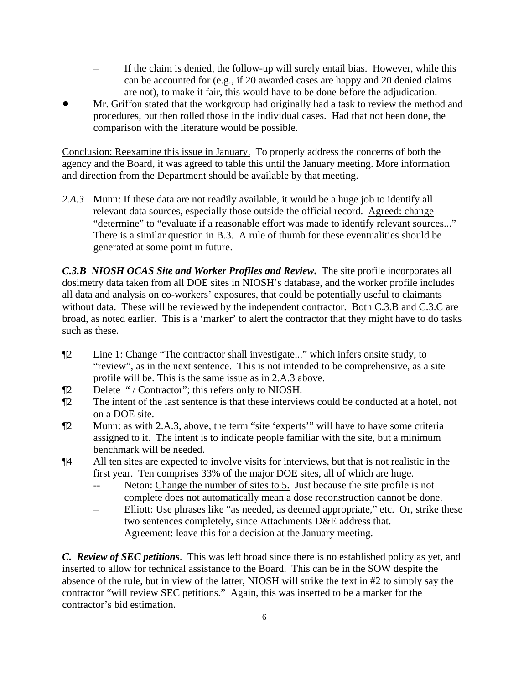- If the claim is denied, the follow-up will surely entail bias. However, while this can be accounted for (e.g., if 20 awarded cases are happy and 20 denied claims are not), to make it fair, this would have to be done before the adjudication.
- Mr. Griffon stated that the workgroup had originally had a task to review the method and procedures, but then rolled those in the individual cases. Had that not been done, the comparison with the literature would be possible.

Conclusion: Reexamine this issue in January. To properly address the concerns of both the agency and the Board, it was agreed to table this until the January meeting. More information and direction from the Department should be available by that meeting.

"determine" to "evaluate if a reasonable effort was made to identify relevant sources..." 2.A.3 Munn: If these data are not readily available, it would be a huge job to identify all relevant data sources, especially those outside the official record. Agreed: change There is a similar question in B.3. A rule of thumb for these eventualities should be generated at some point in future.

*C.3.B NIOSH OCAS Site and Worker Profiles and Review***.** The site profile incorporates all dosimetry data taken from all DOE sites in NIOSH's database, and the worker profile includes all data and analysis on co-workers' exposures, that could be potentially useful to claimants without data. These will be reviewed by the independent contractor. Both C.3.B and C.3.C are broad, as noted earlier. This is a 'marker' to alert the contractor that they might have to do tasks such as these.

- ¶2 Line 1: Change "The contractor shall investigate..." which infers onsite study, to "review", as in the next sentence. This is not intended to be comprehensive, as a site profile will be. This is the same issue as in 2.A.3 above.
- ¶2 Delete " / Contractor"; this refers only to NIOSH.
- ¶2 The intent of the last sentence is that these interviews could be conducted at a hotel, not on a DOE site.
- ¶2 Munn: as with 2.A.3, above, the term "site 'experts'" will have to have some criteria assigned to it. The intent is to indicate people familiar with the site, but a minimum benchmark will be needed.
- ¶4 All ten sites are expected to involve visits for interviews, but that is not realistic in the first year. Ten comprises 33% of the major DOE sites, all of which are huge.
	- -- Neton: Change the number of sites to 5. Just because the site profile is not complete does not automatically mean a dose reconstruction cannot be done.
	- Elliott: Use phrases like "as needed, as deemed appropriate," etc. Or, strike these two sentences completely, since Attachments D&E address that.
	- – Agreement: leave this for a decision at the January meeting.

*C. Review of SEC petitions*. This was left broad since there is no established policy as yet, and inserted to allow for technical assistance to the Board. This can be in the SOW despite the absence of the rule, but in view of the latter, NIOSH will strike the text in #2 to simply say the contractor "will review SEC petitions." Again, this was inserted to be a marker for the contractor's bid estimation.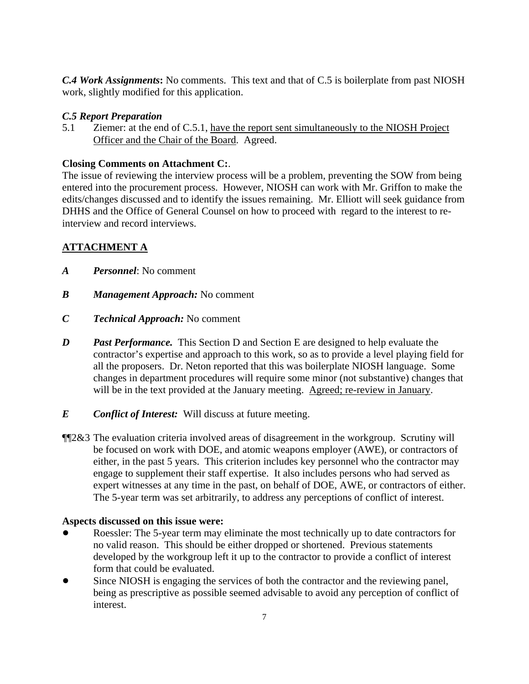*C.4 Work Assignments***:** No comments. This text and that of C.5 is boilerplate from past NIOSH work, slightly modified for this application.

# *C.5 Report Preparation*

5.1 Ziemer: at the end of C.5.1, have the report sent simultaneously to the NIOSH Project Officer and the Chair of the Board. Agreed.

# **Closing Comments on Attachment C:**.

The issue of reviewing the interview process will be a problem, preventing the SOW from being entered into the procurement process. However, NIOSH can work with Mr. Griffon to make the edits/changes discussed and to identify the issues remaining. Mr. Elliott will seek guidance from DHHS and the Office of General Counsel on how to proceed with regard to the interest to reinterview and record interviews.

# **ATTACHMENT A**

- *A Personnel*: No comment
- *B Management Approach:* No comment
- *C Technical Approach:* No comment
- *D Past Performance.* This Section D and Section E are designed to help evaluate the contractor's expertise and approach to this work, so as to provide a level playing field for all the proposers. Dr. Neton reported that this was boilerplate NIOSH language. Some changes in department procedures will require some minor (not substantive) changes that will be in the text provided at the January meeting. Agreed; re-review in January.
- *E Conflict of Interest:* Will discuss at future meeting.
- ¶¶2&3 The evaluation criteria involved areas of disagreement in the workgroup. Scrutiny will be focused on work with DOE, and atomic weapons employer (AWE), or contractors of either, in the past 5 years. This criterion includes key personnel who the contractor may engage to supplement their staff expertise. It also includes persons who had served as expert witnesses at any time in the past, on behalf of DOE, AWE, or contractors of either. The 5-year term was set arbitrarily, to address any perceptions of conflict of interest.

### **Aspects discussed on this issue were:**

- Roessler: The 5-year term may eliminate the most technically up to date contractors for no valid reason. This should be either dropped or shortened. Previous statements developed by the workgroup left it up to the contractor to provide a conflict of interest form that could be evaluated.
- Since NIOSH is engaging the services of both the contractor and the reviewing panel, being as prescriptive as possible seemed advisable to avoid any perception of conflict of interest.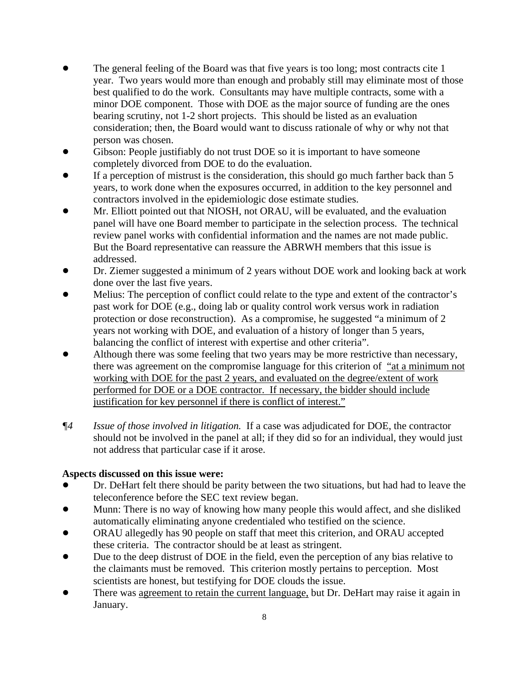- The general feeling of the Board was that five years is too long; most contracts cite 1 year. Two years would more than enough and probably still may eliminate most of those best qualified to do the work. Consultants may have multiple contracts, some with a minor DOE component. Those with DOE as the major source of funding are the ones bearing scrutiny, not 1-2 short projects. This should be listed as an evaluation consideration; then, the Board would want to discuss rationale of why or why not that person was chosen.
- Gibson: People justifiably do not trust DOE so it is important to have someone completely divorced from DOE to do the evaluation.
- If a perception of mistrust is the consideration, this should go much farther back than 5 years, to work done when the exposures occurred, in addition to the key personnel and contractors involved in the epidemiologic dose estimate studies.
- Mr. Elliott pointed out that NIOSH, not ORAU, will be evaluated, and the evaluation panel will have one Board member to participate in the selection process. The technical review panel works with confidential information and the names are not made public. But the Board representative can reassure the ABRWH members that this issue is addressed.
- Dr. Ziemer suggested a minimum of 2 years without DOE work and looking back at work done over the last five years.
- ! Melius: The perception of conflict could relate to the type and extent of the contractor's past work for DOE (e.g., doing lab or quality control work versus work in radiation protection or dose reconstruction). As a compromise, he suggested "a minimum of 2 years not working with DOE, and evaluation of a history of longer than 5 years, balancing the conflict of interest with expertise and other criteria".
- Although there was some feeling that two years may be more restrictive than necessary, there was agreement on the compromise language for this criterion of "at a minimum not working with DOE for the past 2 years, and evaluated on the degree/extent of work performed for DOE or a DOE contractor. If necessary, the bidder should include justification for key personnel if there is conflict of interest."
- *¶4 Issue of those involved in litigation.* If a case was adjudicated for DOE, the contractor should not be involved in the panel at all; if they did so for an individual, they would just not address that particular case if it arose.

# **Aspects discussed on this issue were:**

- Dr. DeHart felt there should be parity between the two situations, but had had to leave the teleconference before the SEC text review began.
- Munn: There is no way of knowing how many people this would affect, and she disliked automatically eliminating anyone credentialed who testified on the science.
- ORAU allegedly has 90 people on staff that meet this criterion, and ORAU accepted these criteria. The contractor should be at least as stringent.
- Due to the deep distrust of DOE in the field, even the perception of any bias relative to the claimants must be removed. This criterion mostly pertains to perception. Most scientists are honest, but testifying for DOE clouds the issue.
- There was agreement to retain the current language, but Dr. DeHart may raise it again in January.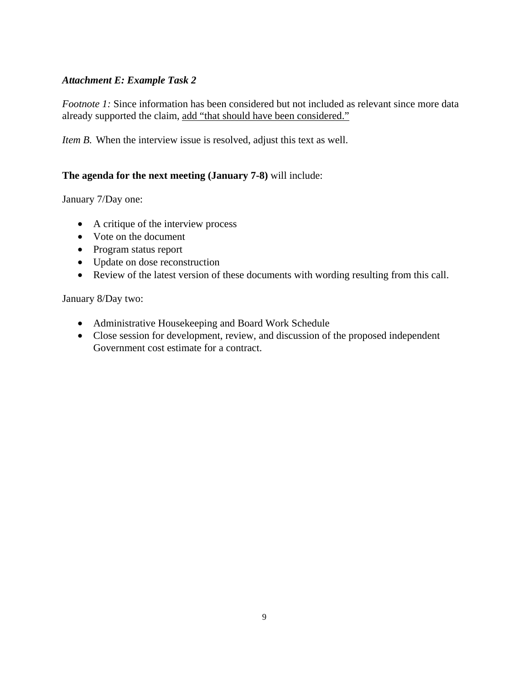## *Attachment E: Example Task 2*

*Footnote 1:* Since information has been considered but not included as relevant since more data already supported the claim, add "that should have been considered."

*Item B.* When the interview issue is resolved, adjust this text as well.

### **The agenda for the next meeting (January 7-8)** will include:

January 7/Day one:

- A critique of the interview process
- Vote on the document
- Program status report
- Update on dose reconstruction
- Review of the latest version of these documents with wording resulting from this call.

January 8/Day two:

- Administrative Housekeeping and Board Work Schedule
- Close session for development, review, and discussion of the proposed independent Government cost estimate for a contract.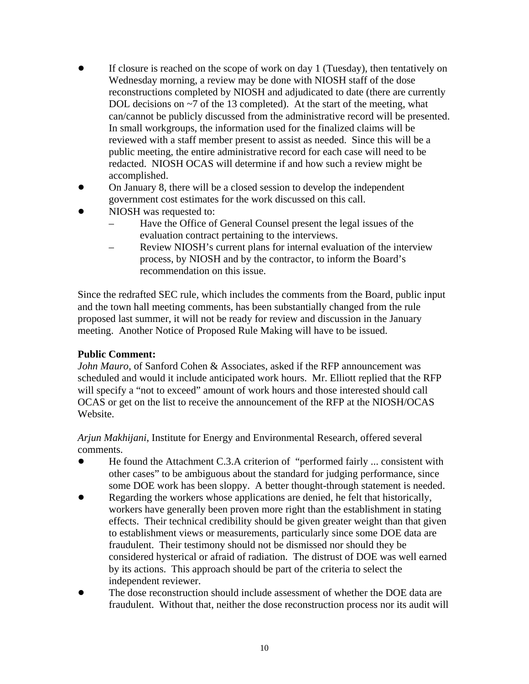- If closure is reached on the scope of work on day  $1$  (Tuesday), then tentatively on Wednesday morning, a review may be done with NIOSH staff of the dose reconstructions completed by NIOSH and adjudicated to date (there are currently DOL decisions on ~7 of the 13 completed). At the start of the meeting, what can/cannot be publicly discussed from the administrative record will be presented. In small workgroups, the information used for the finalized claims will be reviewed with a staff member present to assist as needed. Since this will be a public meeting, the entire administrative record for each case will need to be redacted. NIOSH OCAS will determine if and how such a review might be accomplished.
- ! On January 8, there will be a closed session to develop the independent government cost estimates for the work discussed on this call.
- NIOSH was requested to:
	- Have the Office of General Counsel present the legal issues of the evaluation contract pertaining to the interviews.
	- Review NIOSH's current plans for internal evaluation of the interview process, by NIOSH and by the contractor, to inform the Board's recommendation on this issue.

Since the redrafted SEC rule, which includes the comments from the Board, public input and the town hall meeting comments, has been substantially changed from the rule proposed last summer, it will not be ready for review and discussion in the January meeting. Another Notice of Proposed Rule Making will have to be issued.

# **Public Comment:**

*John Mauro,* of Sanford Cohen & Associates, asked if the RFP announcement was scheduled and would it include anticipated work hours. Mr. Elliott replied that the RFP will specify a "not to exceed" amount of work hours and those interested should call OCAS or get on the list to receive the announcement of the RFP at the NIOSH/OCAS Website.

*Arjun Makhijani*, Institute for Energy and Environmental Research, offered several comments.

- ! He found the Attachment C.3.A criterion of "performed fairly ... consistent with other cases" to be ambiguous about the standard for judging performance, since some DOE work has been sloppy. A better thought-through statement is needed.
- Regarding the workers whose applications are denied, he felt that historically, workers have generally been proven more right than the establishment in stating effects. Their technical credibility should be given greater weight than that given to establishment views or measurements, particularly since some DOE data are fraudulent. Their testimony should not be dismissed nor should they be considered hysterical or afraid of radiation. The distrust of DOE was well earned by its actions. This approach should be part of the criteria to select the independent reviewer.
- The dose reconstruction should include assessment of whether the DOE data are fraudulent. Without that, neither the dose reconstruction process nor its audit will